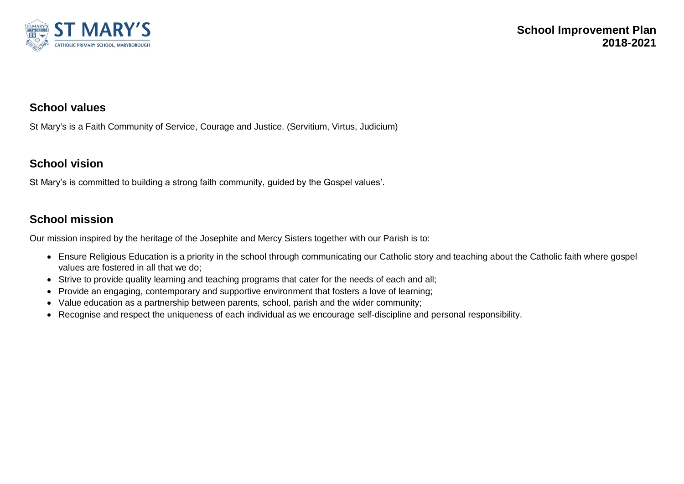

## **School values**

St Mary's is a Faith Community of Service, Courage and Justice. (Servitium, Virtus, Judicium)

## **School vision**

St Mary's is committed to building a strong faith community, guided by the Gospel values'.

## **School mission**

Our mission inspired by the heritage of the Josephite and Mercy Sisters together with our Parish is to:

- Ensure Religious Education is a priority in the school through communicating our Catholic story and teaching about the Catholic faith where gospel values are fostered in all that we do;
- Strive to provide quality learning and teaching programs that cater for the needs of each and all;
- Provide an engaging, contemporary and supportive environment that fosters a love of learning;
- Value education as a partnership between parents, school, parish and the wider community;
- Recognise and respect the uniqueness of each individual as we encourage self-discipline and personal responsibility.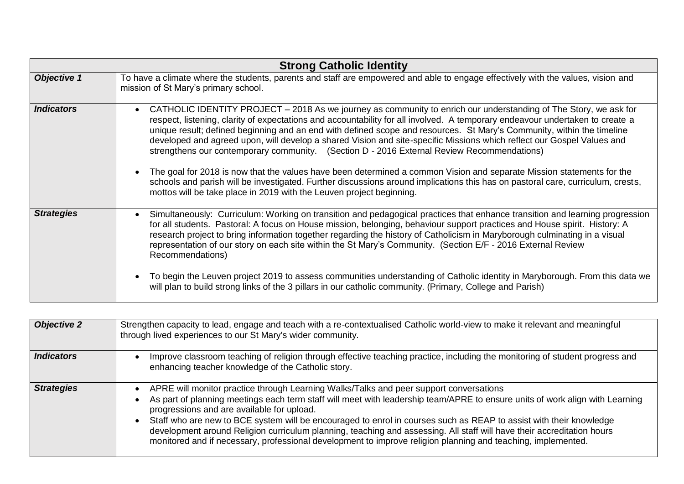| <b>Strong Catholic Identity</b> |                                                                                                                                                                                                                                                                                                                                                                                                                                                                                                                                                                                                                                                                                                                                                                                                                                                                                                                                         |  |
|---------------------------------|-----------------------------------------------------------------------------------------------------------------------------------------------------------------------------------------------------------------------------------------------------------------------------------------------------------------------------------------------------------------------------------------------------------------------------------------------------------------------------------------------------------------------------------------------------------------------------------------------------------------------------------------------------------------------------------------------------------------------------------------------------------------------------------------------------------------------------------------------------------------------------------------------------------------------------------------|--|
| <b>Objective 1</b>              | To have a climate where the students, parents and staff are empowered and able to engage effectively with the values, vision and<br>mission of St Mary's primary school.                                                                                                                                                                                                                                                                                                                                                                                                                                                                                                                                                                                                                                                                                                                                                                |  |
| <i><b>Indicators</b></i>        | CATHOLIC IDENTITY PROJECT – 2018 As we journey as community to enrich our understanding of The Story, we ask for<br>respect, listening, clarity of expectations and accountability for all involved. A temporary endeavour undertaken to create a<br>unique result; defined beginning and an end with defined scope and resources. St Mary's Community, within the timeline<br>developed and agreed upon, will develop a shared Vision and site-specific Missions which reflect our Gospel Values and<br>strengthens our contemporary community. (Section D - 2016 External Review Recommendations)<br>The goal for 2018 is now that the values have been determined a common Vision and separate Mission statements for the<br>schools and parish will be investigated. Further discussions around implications this has on pastoral care, curriculum, crests,<br>mottos will be take place in 2019 with the Leuven project beginning. |  |
| <b>Strategies</b>               | Simultaneously: Curriculum: Working on transition and pedagogical practices that enhance transition and learning progression<br>for all students. Pastoral: A focus on House mission, belonging, behaviour support practices and House spirit. History: A<br>research project to bring information together regarding the history of Catholicism in Maryborough culminating in a visual<br>representation of our story on each site within the St Mary's Community. (Section E/F - 2016 External Review<br>Recommendations)<br>To begin the Leuven project 2019 to assess communities understanding of Catholic identity in Maryborough. From this data we<br>will plan to build strong links of the 3 pillars in our catholic community. (Primary, College and Parish)                                                                                                                                                                 |  |

| <b>Objective 2</b> | Strengthen capacity to lead, engage and teach with a re-contextualised Catholic world-view to make it relevant and meaningful<br>through lived experiences to our St Mary's wider community.                                                                                                                                                                                                                                                                                                                                                                                                                                         |
|--------------------|--------------------------------------------------------------------------------------------------------------------------------------------------------------------------------------------------------------------------------------------------------------------------------------------------------------------------------------------------------------------------------------------------------------------------------------------------------------------------------------------------------------------------------------------------------------------------------------------------------------------------------------|
| <b>Indicators</b>  | Improve classroom teaching of religion through effective teaching practice, including the monitoring of student progress and<br>enhancing teacher knowledge of the Catholic story.                                                                                                                                                                                                                                                                                                                                                                                                                                                   |
| <b>Strategies</b>  | APRE will monitor practice through Learning Walks/Talks and peer support conversations<br>As part of planning meetings each term staff will meet with leadership team/APRE to ensure units of work align with Learning<br>progressions and are available for upload.<br>Staff who are new to BCE system will be encouraged to enrol in courses such as REAP to assist with their knowledge<br>development around Religion curriculum planning, teaching and assessing. All staff will have their accreditation hours<br>monitored and if necessary, professional development to improve religion planning and teaching, implemented. |